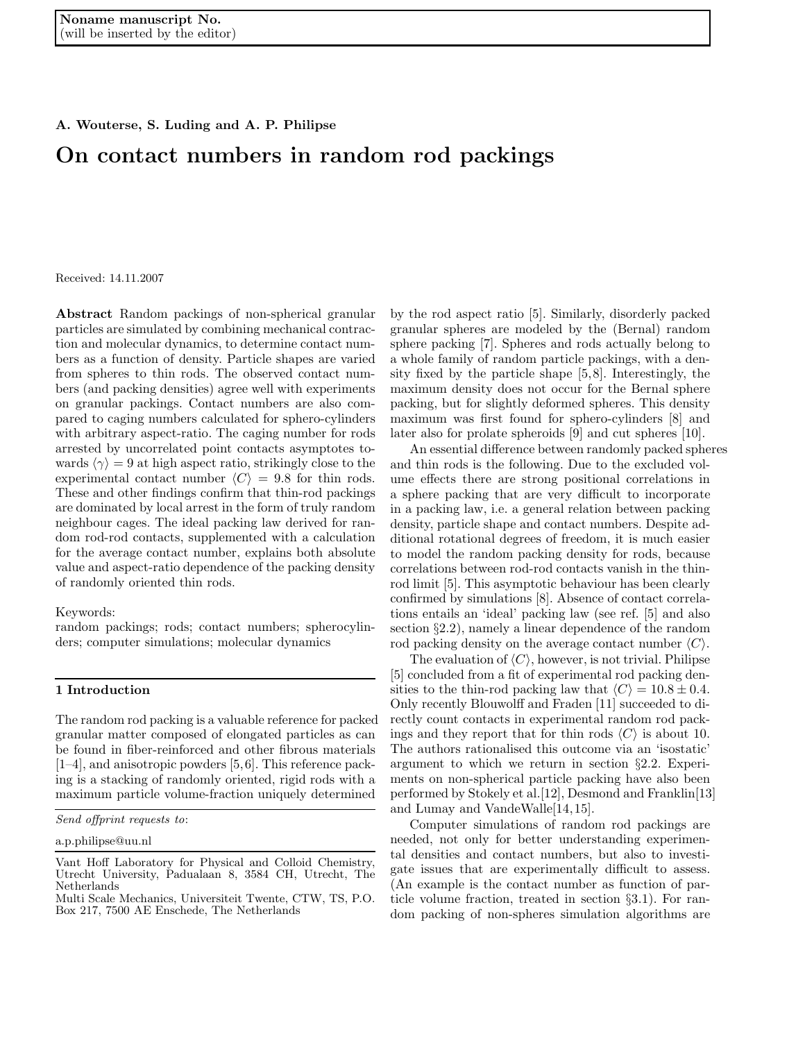A. Wouterse, S. Luding and A. P. Philipse

# On contact numbers in random rod packings

Received: 14.11.2007

Abstract Random packings of non-spherical granular particles are simulated by combining mechanical contraction and molecular dynamics, to determine contact numbers as a function of density. Particle shapes are varied from spheres to thin rods. The observed contact numbers (and packing densities) agree well with experiments on granular packings. Contact numbers are also compared to caging numbers calculated for sphero-cylinders with arbitrary aspect-ratio. The caging number for rods arrested by uncorrelated point contacts asymptotes towards  $\langle \gamma \rangle = 9$  at high aspect ratio, strikingly close to the experimental contact number  $\langle C \rangle = 9.8$  for thin rods. These and other findings confirm that thin-rod packings are dominated by local arrest in the form of truly random neighbour cages. The ideal packing law derived for random rod-rod contacts, supplemented with a calculation for the average contact number, explains both absolute value and aspect-ratio dependence of the packing density of randomly oriented thin rods.

Keywords:

random packings; rods; contact numbers; spherocylinders; computer simulations; molecular dynamics

#### 1 Introduction

The random rod packing is a valuable reference for packed granular matter composed of elongated particles as can be found in fiber-reinforced and other fibrous materials [1–4], and anisotropic powders [5,6]. This reference packing is a stacking of randomly oriented, rigid rods with a maximum particle volume-fraction uniquely determined

by the rod aspect ratio [5]. Similarly, disorderly packed granular spheres are modeled by the (Bernal) random sphere packing [7]. Spheres and rods actually belong to a whole family of random particle packings, with a density fixed by the particle shape [5,8]. Interestingly, the maximum density does not occur for the Bernal sphere packing, but for slightly deformed spheres. This density maximum was first found for sphero-cylinders [8] and later also for prolate spheroids [9] and cut spheres [10].

An essential difference between randomly packed spheres and thin rods is the following. Due to the excluded volume effects there are strong positional correlations in a sphere packing that are very difficult to incorporate in a packing law, i.e. a general relation between packing density, particle shape and contact numbers. Despite additional rotational degrees of freedom, it is much easier to model the random packing density for rods, because correlations between rod-rod contacts vanish in the thinrod limit [5]. This asymptotic behaviour has been clearly confirmed by simulations [8]. Absence of contact correlations entails an 'ideal' packing law (see ref. [5] and also section §2.2), namely a linear dependence of the random rod packing density on the average contact number  $\langle C \rangle$ .

The evaluation of  $\langle C \rangle$ , however, is not trivial. Philipse [5] concluded from a fit of experimental rod packing densities to the thin-rod packing law that  $\langle C \rangle = 10.8 \pm 0.4$ . Only recently Blouwolff and Fraden [11] succeeded to directly count contacts in experimental random rod packings and they report that for thin rods  $\langle C \rangle$  is about 10. The authors rationalised this outcome via an 'isostatic' argument to which we return in section §2.2. Experiments on non-spherical particle packing have also been performed by Stokely et al.[12], Desmond and Franklin[13] and Lumay and VandeWalle[14,15].

Computer simulations of random rod packings are needed, not only for better understanding experimental densities and contact numbers, but also to investigate issues that are experimentally difficult to assess. (An example is the contact number as function of particle volume fraction, treated in section §3.1). For random packing of non-spheres simulation algorithms are

*Send offprint requests to*:

a.p.philipse@uu.nl

Vant Hoff Laboratory for Physical and Colloid Chemistry, Utrecht University, Padualaan 8, 3584 CH, Utrecht, The Netherlands

Multi Scale Mechanics, Universiteit Twente, CTW, TS, P.O. Box 217, 7500 AE Enschede, The Netherlands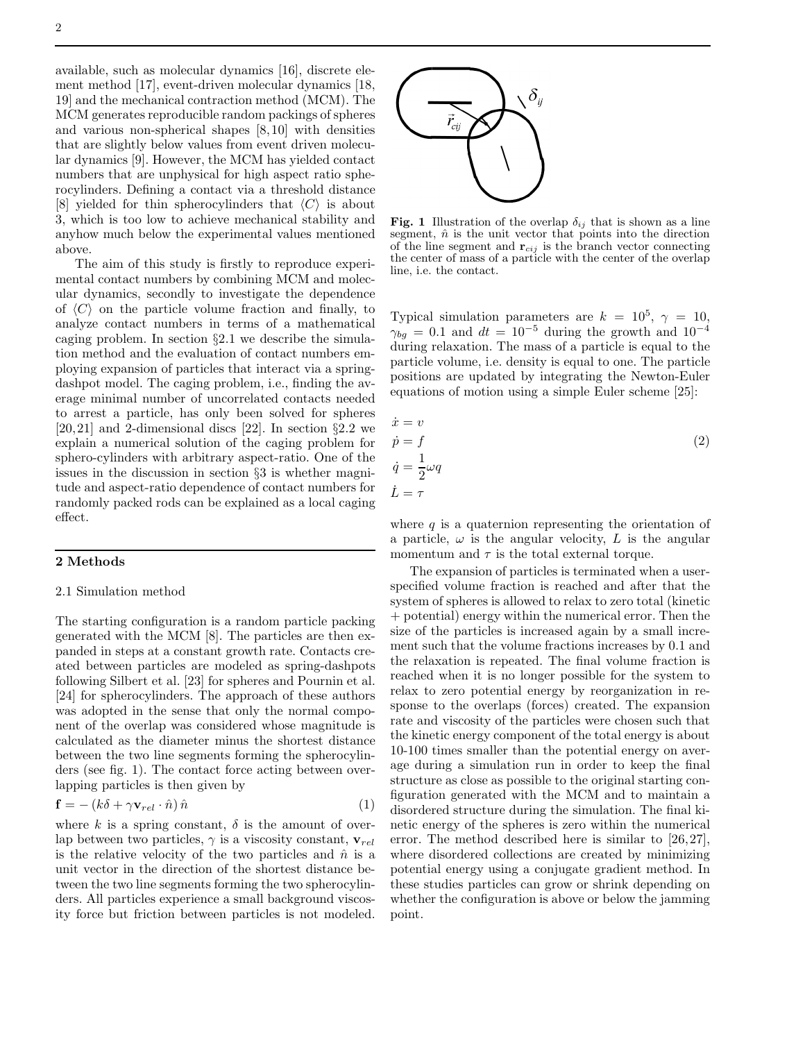available, such as molecular dynamics [16], discrete element method [17], event-driven molecular dynamics [18, 19] and the mechanical contraction method (MCM). The MCM generates reproducible random packings of spheres and various non-spherical shapes [8,10] with densities that are slightly below values from event driven molecular dynamics [9]. However, the MCM has yielded contact numbers that are unphysical for high aspect ratio spherocylinders. Defining a contact via a threshold distance [8] yielded for thin spherocylinders that  $\langle C \rangle$  is about 3, which is too low to achieve mechanical stability and anyhow much below the experimental values mentioned above.

The aim of this study is firstly to reproduce experimental contact numbers by combining MCM and molecular dynamics, secondly to investigate the dependence of  $\langle C \rangle$  on the particle volume fraction and finally, to analyze contact numbers in terms of a mathematical caging problem. In section §2.1 we describe the simulation method and the evaluation of contact numbers employing expansion of particles that interact via a springdashpot model. The caging problem, i.e., finding the average minimal number of uncorrelated contacts needed to arrest a particle, has only been solved for spheres [20,21] and 2-dimensional discs [22]. In section  $\S 2.2$  we explain a numerical solution of the caging problem for sphero-cylinders with arbitrary aspect-ratio. One of the issues in the discussion in section §3 is whether magnitude and aspect-ratio dependence of contact numbers for randomly packed rods can be explained as a local caging effect.

## 2 Methods

## 2.1 Simulation method

The starting configuration is a random particle packing generated with the MCM [8]. The particles are then expanded in steps at a constant growth rate. Contacts created between particles are modeled as spring-dashpots following Silbert et al. [23] for spheres and Pournin et al. [24] for spherocylinders. The approach of these authors was adopted in the sense that only the normal component of the overlap was considered whose magnitude is calculated as the diameter minus the shortest distance between the two line segments forming the spherocylinders (see fig. 1). The contact force acting between overlapping particles is then given by

$$
\mathbf{f} = -\left(k\delta + \gamma \mathbf{v}_{rel} \cdot \hat{n}\right)\hat{n} \tag{1}
$$

where k is a spring constant,  $\delta$  is the amount of overlap between two particles,  $\gamma$  is a viscosity constant,  $\mathbf{v}_{rel}$ is the relative velocity of the two particles and  $\hat{n}$  is a unit vector in the direction of the shortest distance between the two line segments forming the two spherocylinders. All particles experience a small background viscosity force but friction between particles is not modeled.



Fig. 1 Illustration of the overlap  $\delta_{ij}$  that is shown as a line segment,  $\hat{n}$  is the unit vector that points into the direction of the line segment and  $\mathbf{r}_{cij}$  is the branch vector connecting the center of mass of a particle with the center of the overlap line, i.e. the contact.

Typical simulation parameters are  $k = 10^5$ ,  $\gamma = 10$ ,  $\gamma_{bg} = 0.1$  and  $dt = 10^{-5}$  during the growth and  $10^{-4}$ during relaxation. The mass of a particle is equal to the particle volume, i.e. density is equal to one. The particle positions are updated by integrating the Newton-Euler equations of motion using a simple Euler scheme [25]:

$$
\begin{aligned}\n\dot{x} &= v\\ \n\dot{p} &= f\\ \n\dot{q} &= \frac{1}{2}\omega q\\ \n\dot{L} &= \tau\n\end{aligned} \tag{2}
$$

where  $q$  is a quaternion representing the orientation of a particle,  $\omega$  is the angular velocity, L is the angular momentum and  $\tau$  is the total external torque.

The expansion of particles is terminated when a userspecified volume fraction is reached and after that the system of spheres is allowed to relax to zero total (kinetic + potential) energy within the numerical error. Then the size of the particles is increased again by a small increment such that the volume fractions increases by 0.1 and the relaxation is repeated. The final volume fraction is reached when it is no longer possible for the system to relax to zero potential energy by reorganization in response to the overlaps (forces) created. The expansion rate and viscosity of the particles were chosen such that the kinetic energy component of the total energy is about 10-100 times smaller than the potential energy on average during a simulation run in order to keep the final structure as close as possible to the original starting configuration generated with the MCM and to maintain a disordered structure during the simulation. The final kinetic energy of the spheres is zero within the numerical error. The method described here is similar to [26,27], where disordered collections are created by minimizing potential energy using a conjugate gradient method. In these studies particles can grow or shrink depending on whether the configuration is above or below the jamming point.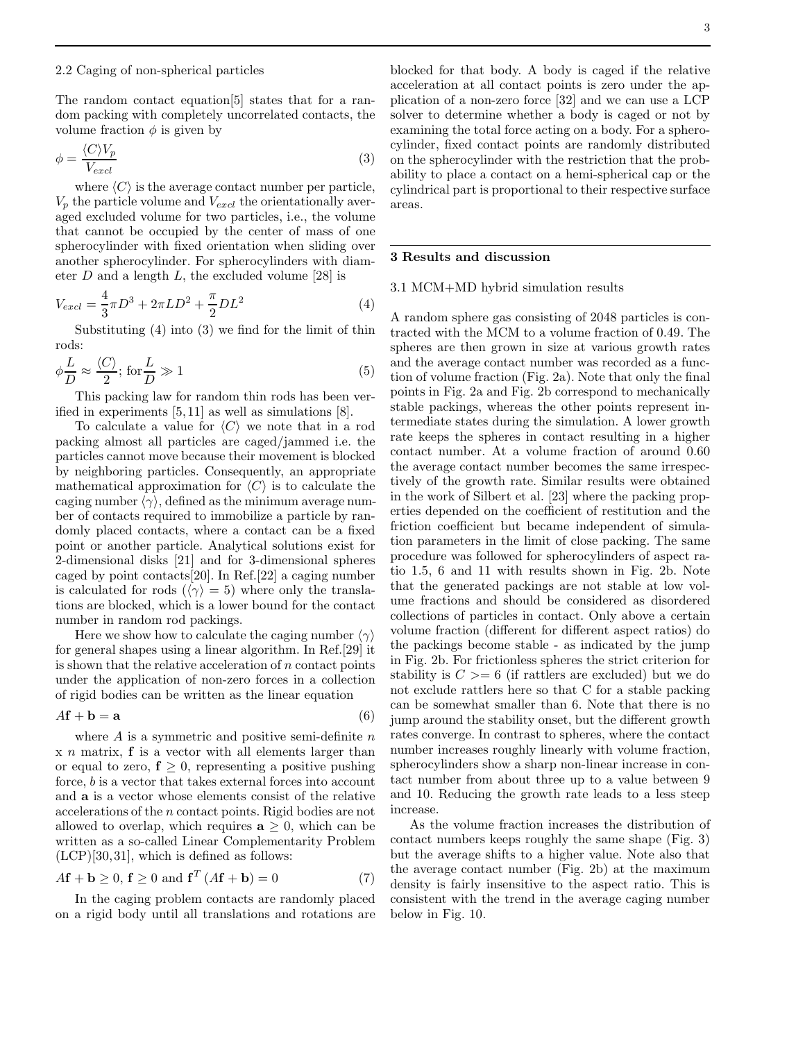#### 2.2 Caging of non-spherical particles

The random contact equation[5] states that for a random packing with completely uncorrelated contacts, the volume fraction  $\phi$  is given by

$$
\phi = \frac{\langle C \rangle V_p}{V_{excl}} \tag{3}
$$

where  $\langle C \rangle$  is the average contact number per particle,  $V_p$  the particle volume and  $V_{excl}$  the orientationally averaged excluded volume for two particles, i.e., the volume that cannot be occupied by the center of mass of one spherocylinder with fixed orientation when sliding over another spherocylinder. For spherocylinders with diameter  $D$  and a length  $L$ , the excluded volume [28] is

$$
V_{excl} = \frac{4}{3}\pi D^3 + 2\pi LD^2 + \frac{\pi}{2}DL^2
$$
 (4)

Substituting  $(4)$  into  $(3)$  we find for the limit of thin rods:

$$
\phi \frac{L}{D} \approx \frac{\langle C \rangle}{2}; \text{ for } \frac{L}{D} \gg 1
$$
\n(5)

This packing law for random thin rods has been verified in experiments [5,11] as well as simulations [8].

To calculate a value for  $\langle C \rangle$  we note that in a rod packing almost all particles are caged/jammed i.e. the particles cannot move because their movement is blocked by neighboring particles. Consequently, an appropriate mathematical approximation for  $\langle C \rangle$  is to calculate the caging number  $\langle \gamma \rangle$ , defined as the minimum average number of contacts required to immobilize a particle by randomly placed contacts, where a contact can be a fixed point or another particle. Analytical solutions exist for 2-dimensional disks [21] and for 3-dimensional spheres caged by point contacts[20]. In Ref.[22] a caging number is calculated for rods ( $\langle \gamma \rangle = 5$ ) where only the translations are blocked, which is a lower bound for the contact number in random rod packings.

Here we show how to calculate the caging number  $\langle \gamma \rangle$ for general shapes using a linear algorithm. In Ref.[29] it is shown that the relative acceleration of  $n$  contact points under the application of non-zero forces in a collection of rigid bodies can be written as the linear equation

$$
A\mathbf{f} + \mathbf{b} = \mathbf{a} \tag{6}
$$

where  $A$  is a symmetric and positive semi-definite  $n$  $x \in \mathbb{R}$  matrix,  $f$  is a vector with all elements larger than or equal to zero,  $f \geq 0$ , representing a positive pushing force, b is a vector that takes external forces into account and a is a vector whose elements consist of the relative accelerations of the n contact points. Rigid bodies are not allowed to overlap, which requires  $a \geq 0$ , which can be written as a so-called Linear Complementarity Problem (LCP)[30,31], which is defined as follows:

$$
A\mathbf{f} + \mathbf{b} \ge 0, \mathbf{f} \ge 0 \text{ and } \mathbf{f}^T (A\mathbf{f} + \mathbf{b}) = 0 \tag{7}
$$

In the caging problem contacts are randomly placed on a rigid body until all translations and rotations are

blocked for that body. A body is caged if the relative acceleration at all contact points is zero under the application of a non-zero force [32] and we can use a LCP solver to determine whether a body is caged or not by examining the total force acting on a body. For a spherocylinder, fixed contact points are randomly distributed on the spherocylinder with the restriction that the probability to place a contact on a hemi-spherical cap or the cylindrical part is proportional to their respective surface areas.

## 3 Results and discussion

### 3.1 MCM+MD hybrid simulation results

A random sphere gas consisting of 2048 particles is contracted with the MCM to a volume fraction of 0.49. The spheres are then grown in size at various growth rates and the average contact number was recorded as a function of volume fraction (Fig. 2a). Note that only the final points in Fig. 2a and Fig. 2b correspond to mechanically stable packings, whereas the other points represent intermediate states during the simulation. A lower growth rate keeps the spheres in contact resulting in a higher contact number. At a volume fraction of around 0.60 the average contact number becomes the same irrespectively of the growth rate. Similar results were obtained in the work of Silbert et al. [23] where the packing properties depended on the coefficient of restitution and the friction coefficient but became independent of simulation parameters in the limit of close packing. The same procedure was followed for spherocylinders of aspect ratio 1.5, 6 and 11 with results shown in Fig. 2b. Note that the generated packings are not stable at low volume fractions and should be considered as disordered collections of particles in contact. Only above a certain volume fraction (different for different aspect ratios) do the packings become stable - as indicated by the jump in Fig. 2b. For frictionless spheres the strict criterion for stability is  $C \geq 6$  (if rattlers are excluded) but we do not exclude rattlers here so that C for a stable packing can be somewhat smaller than 6. Note that there is no jump around the stability onset, but the different growth rates converge. In contrast to spheres, where the contact number increases roughly linearly with volume fraction, spherocylinders show a sharp non-linear increase in contact number from about three up to a value between 9 and 10. Reducing the growth rate leads to a less steep increase.

As the volume fraction increases the distribution of contact numbers keeps roughly the same shape (Fig. 3) but the average shifts to a higher value. Note also that the average contact number (Fig. 2b) at the maximum density is fairly insensitive to the aspect ratio. This is consistent with the trend in the average caging number below in Fig. 10.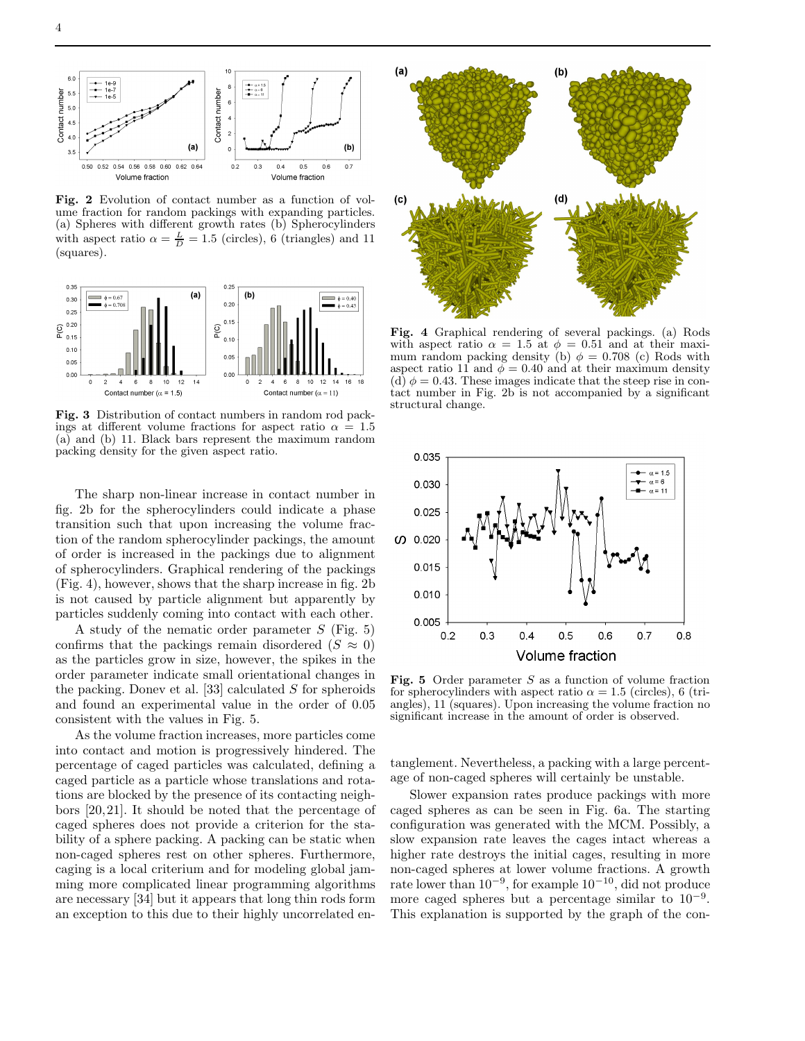

Fig. 2 Evolution of contact number as a function of volume fraction for random packings with expanding particles. (a) Spheres with different growth rates (b) Spherocylinders with aspect ratio  $\alpha = \frac{L}{D} = 1.5$  (circles), 6 (triangles) and 11 (squares).



Fig. 3 Distribution of contact numbers in random rod packings at different volume fractions for aspect ratio  $\alpha = 1.5$ (a) and (b) 11. Black bars represent the maximum random packing density for the given aspect ratio.

The sharp non-linear increase in contact number in fig. 2b for the spherocylinders could indicate a phase transition such that upon increasing the volume fraction of the random spherocylinder packings, the amount of order is increased in the packings due to alignment of spherocylinders. Graphical rendering of the packings (Fig. 4), however, shows that the sharp increase in fig. 2b is not caused by particle alignment but apparently by particles suddenly coming into contact with each other.

A study of the nematic order parameter  $S$  (Fig. 5) confirms that the packings remain disordered ( $S \approx 0$ ) as the particles grow in size, however, the spikes in the order parameter indicate small orientational changes in the packing. Donev et al. [33] calculated S for spheroids and found an experimental value in the order of 0.05 consistent with the values in Fig. 5.

As the volume fraction increases, more particles come into contact and motion is progressively hindered. The percentage of caged particles was calculated, defining a caged particle as a particle whose translations and rotations are blocked by the presence of its contacting neighbors [20,21]. It should be noted that the percentage of caged spheres does not provide a criterion for the stability of a sphere packing. A packing can be static when non-caged spheres rest on other spheres. Furthermore, caging is a local criterium and for modeling global jamming more complicated linear programming algorithms are necessary [34] but it appears that long thin rods form an exception to this due to their highly uncorrelated en-



Fig. 4 Graphical rendering of several packings. (a) Rods with aspect ratio  $\alpha = 1.5$  at  $\phi = 0.51$  and at their maximum random packing density (b)  $\phi = 0.708$  (c) Rods with aspect ratio 11 and  $\phi = 0.40$  and at their maximum density (d)  $\phi = 0.43$ . These images indicate that the steep rise in contact number in Fig. 2b is not accompanied by a significant structural change.



Fig. 5 Order parameter  $S$  as a function of volume fraction for spherocylinders with aspect ratio  $\alpha = 1.5$  (circles), 6 (triangles), 11 (squares). Upon increasing the volume fraction no significant increase in the amount of order is observed.

tanglement. Nevertheless, a packing with a large percentage of non-caged spheres will certainly be unstable.

Slower expansion rates produce packings with more caged spheres as can be seen in Fig. 6a. The starting configuration was generated with the MCM. Possibly, a slow expansion rate leaves the cages intact whereas a higher rate destroys the initial cages, resulting in more non-caged spheres at lower volume fractions. A growth rate lower than  $10^{-9}$ , for example  $10^{-10}$ , did not produce more caged spheres but a percentage similar to  $10^{-9}$ . This explanation is supported by the graph of the con-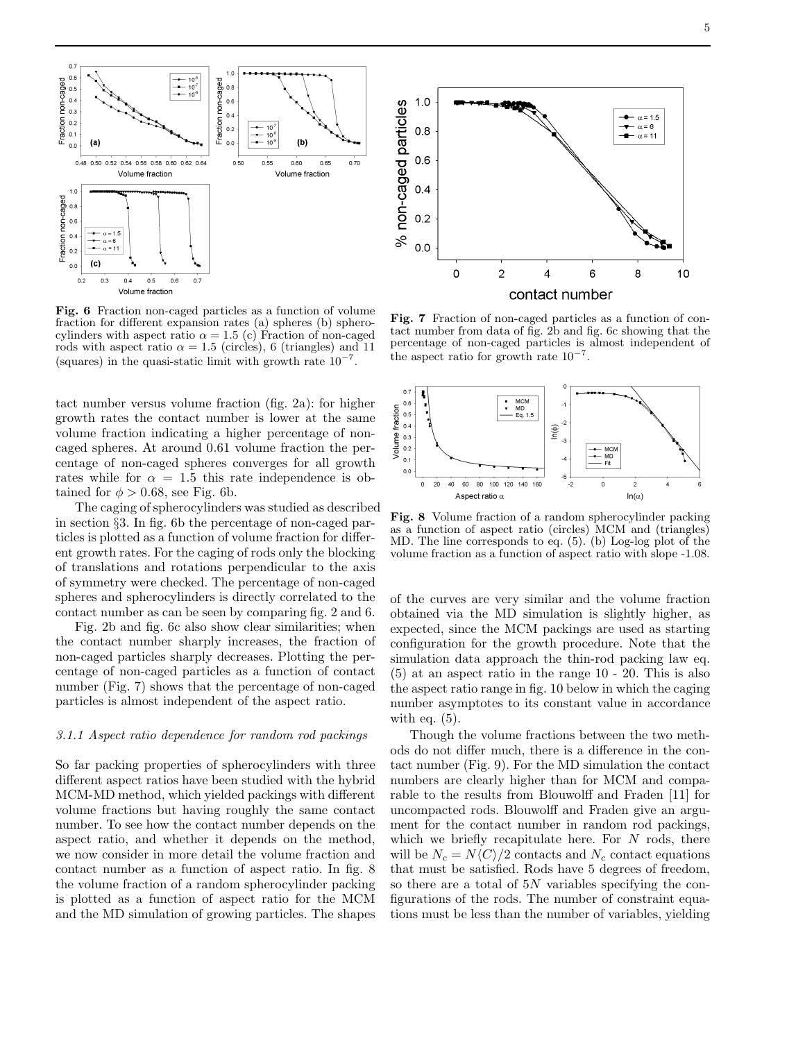

Fig. 6 Fraction non-caged particles as a function of volume fraction for different expansion rates (a) spheres (b) spherocylinders with aspect ratio  $\alpha = 1.5$  (c) Fraction of non-caged rods with aspect ratio  $\alpha = 1.5$  (circles), 6 (triangles) and 11 (squares) in the quasi-static limit with growth rate  $10^{-7}$ .

tact number versus volume fraction (fig. 2a): for higher growth rates the contact number is lower at the same volume fraction indicating a higher percentage of noncaged spheres. At around 0.61 volume fraction the percentage of non-caged spheres converges for all growth rates while for  $\alpha = 1.5$  this rate independence is obtained for  $\phi > 0.68$ , see Fig. 6b.

The caging of spherocylinders was studied as described in section §3. In fig. 6b the percentage of non-caged particles is plotted as a function of volume fraction for different growth rates. For the caging of rods only the blocking of translations and rotations perpendicular to the axis of symmetry were checked. The percentage of non-caged spheres and spherocylinders is directly correlated to the contact number as can be seen by comparing fig. 2 and 6.

Fig. 2b and fig. 6c also show clear similarities; when the contact number sharply increases, the fraction of non-caged particles sharply decreases. Plotting the percentage of non-caged particles as a function of contact number (Fig. 7) shows that the percentage of non-caged particles is almost independent of the aspect ratio.

#### 3.1.1 Aspect ratio dependence for random rod packings

So far packing properties of spherocylinders with three different aspect ratios have been studied with the hybrid MCM-MD method, which yielded packings with different volume fractions but having roughly the same contact number. To see how the contact number depends on the aspect ratio, and whether it depends on the method, we now consider in more detail the volume fraction and contact number as a function of aspect ratio. In fig. 8 the volume fraction of a random spherocylinder packing is plotted as a function of aspect ratio for the MCM and the MD simulation of growing particles. The shapes



Fig. 7 Fraction of non-caged particles as a function of contact number from data of fig. 2b and fig. 6c showing that the percentage of non-caged particles is almost independent of the aspect ratio for growth rate  $10^{-7}$ .



Fig. 8 Volume fraction of a random spherocylinder packing as a function of aspect ratio (circles) MCM and (triangles) MD. The line corresponds to eq. (5). (b) Log-log plot of the volume fraction as a function of aspect ratio with slope -1.08.

of the curves are very similar and the volume fraction obtained via the MD simulation is slightly higher, as expected, since the MCM packings are used as starting configuration for the growth procedure. Note that the simulation data approach the thin-rod packing law eq. (5) at an aspect ratio in the range 10 - 20. This is also the aspect ratio range in fig. 10 below in which the caging number asymptotes to its constant value in accordance with eq.  $(5)$ .

Though the volume fractions between the two methods do not differ much, there is a difference in the contact number (Fig. 9). For the MD simulation the contact numbers are clearly higher than for MCM and comparable to the results from Blouwolff and Fraden [11] for uncompacted rods. Blouwolff and Fraden give an argument for the contact number in random rod packings, which we briefly recapitulate here. For  $N$  rods, there will be  $N_c = N\langle C \rangle/2$  contacts and  $N_c$  contact equations that must be satisfied. Rods have 5 degrees of freedom, so there are a total of 5N variables specifying the configurations of the rods. The number of constraint equations must be less than the number of variables, yielding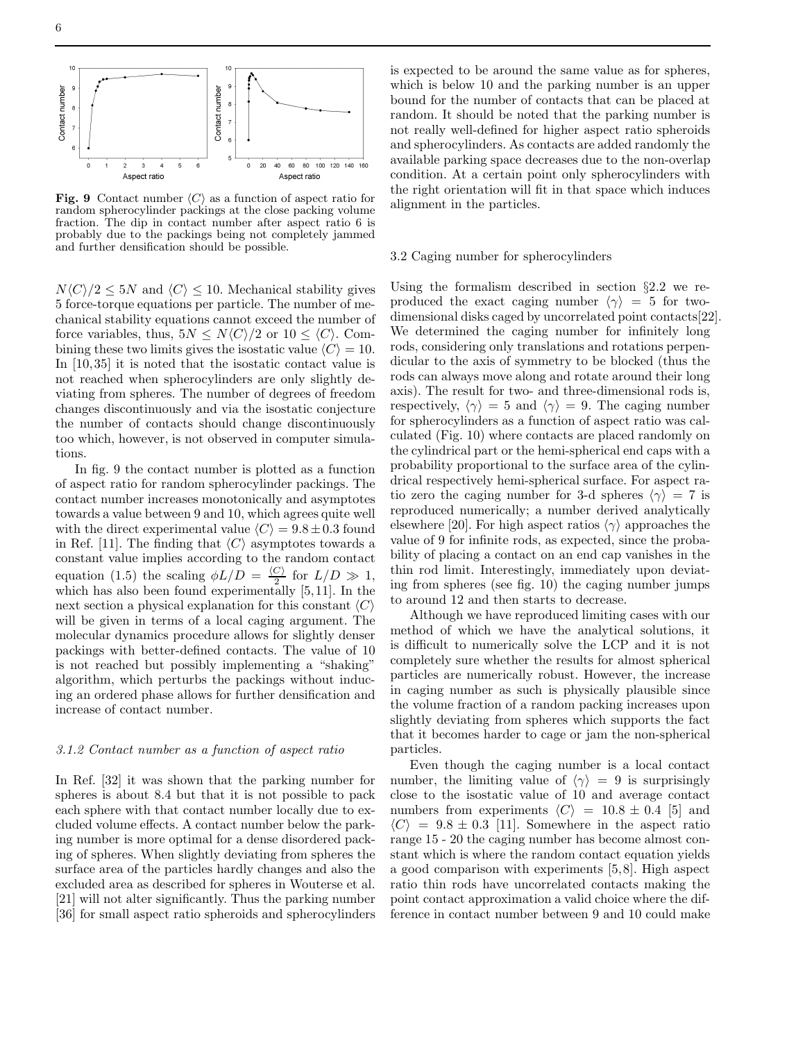

Fig. 9 Contact number  $\langle C \rangle$  as a function of aspect ratio for random spherocylinder packings at the close packing volume fraction. The dip in contact number after aspect ratio 6 is probably due to the packings being not completely jammed and further densification should be possible.

 $N\langle C \rangle/2 \leq 5N$  and  $\langle C \rangle \leq 10$ . Mechanical stability gives 5 force-torque equations per particle. The number of mechanical stability equations cannot exceed the number of force variables, thus,  $5N \leq N\langle C \rangle/2$  or  $10 \leq \langle C \rangle$ . Combining these two limits gives the isostatic value  $\langle C \rangle = 10$ . In [10,35] it is noted that the isostatic contact value is not reached when spherocylinders are only slightly deviating from spheres. The number of degrees of freedom changes discontinuously and via the isostatic conjecture the number of contacts should change discontinuously too which, however, is not observed in computer simulations.

In fig. 9 the contact number is plotted as a function of aspect ratio for random spherocylinder packings. The contact number increases monotonically and asymptotes towards a value between 9 and 10, which agrees quite well with the direct experimental value  $\langle C \rangle = 9.8 \pm 0.3$  found in Ref. [11]. The finding that  $\langle C \rangle$  asymptotes towards a constant value implies according to the random contact equation (1.5) the scaling  $\phi L/D = \frac{\langle C \rangle}{2}$  for  $L/D \gg 1$ , which has also been found experimentally [5,11]. In the next section a physical explanation for this constant  $\langle C \rangle$ will be given in terms of a local caging argument. The molecular dynamics procedure allows for slightly denser packings with better-defined contacts. The value of 10 is not reached but possibly implementing a "shaking" algorithm, which perturbs the packings without inducing an ordered phase allows for further densification and increase of contact number.

#### 3.1.2 Contact number as a function of aspect ratio

In Ref. [32] it was shown that the parking number for spheres is about 8.4 but that it is not possible to pack each sphere with that contact number locally due to excluded volume effects. A contact number below the parking number is more optimal for a dense disordered packing of spheres. When slightly deviating from spheres the surface area of the particles hardly changes and also the excluded area as described for spheres in Wouterse et al. [21] will not alter significantly. Thus the parking number [36] for small aspect ratio spheroids and spherocylinders is expected to be around the same value as for spheres, which is below 10 and the parking number is an upper bound for the number of contacts that can be placed at random. It should be noted that the parking number is not really well-defined for higher aspect ratio spheroids and spherocylinders. As contacts are added randomly the available parking space decreases due to the non-overlap condition. At a certain point only spherocylinders with the right orientation will fit in that space which induces alignment in the particles.

#### 3.2 Caging number for spherocylinders

Using the formalism described in section §2.2 we reproduced the exact caging number  $\langle \gamma \rangle = 5$  for twodimensional disks caged by uncorrelated point contacts[22]. We determined the caging number for infinitely long rods, considering only translations and rotations perpendicular to the axis of symmetry to be blocked (thus the rods can always move along and rotate around their long axis). The result for two- and three-dimensional rods is, respectively,  $\langle \gamma \rangle = 5$  and  $\langle \gamma \rangle = 9$ . The caging number for spherocylinders as a function of aspect ratio was calculated (Fig. 10) where contacts are placed randomly on the cylindrical part or the hemi-spherical end caps with a probability proportional to the surface area of the cylindrical respectively hemi-spherical surface. For aspect ratio zero the caging number for 3-d spheres  $\langle \gamma \rangle = 7$  is reproduced numerically; a number derived analytically elsewhere [20]. For high aspect ratios  $\langle \gamma \rangle$  approaches the value of 9 for infinite rods, as expected, since the probability of placing a contact on an end cap vanishes in the thin rod limit. Interestingly, immediately upon deviating from spheres (see fig. 10) the caging number jumps to around 12 and then starts to decrease.

Although we have reproduced limiting cases with our method of which we have the analytical solutions, it is difficult to numerically solve the LCP and it is not completely sure whether the results for almost spherical particles are numerically robust. However, the increase in caging number as such is physically plausible since the volume fraction of a random packing increases upon slightly deviating from spheres which supports the fact that it becomes harder to cage or jam the non-spherical particles.

Even though the caging number is a local contact number, the limiting value of  $\langle \gamma \rangle = 9$  is surprisingly close to the isostatic value of 10 and average contact numbers from experiments  $\langle C \rangle = 10.8 \pm 0.4$  [5] and  $\langle C \rangle$  = 9.8 ± 0.3 [11]. Somewhere in the aspect ratio range 15 - 20 the caging number has become almost constant which is where the random contact equation yields a good comparison with experiments [5,8]. High aspect ratio thin rods have uncorrelated contacts making the point contact approximation a valid choice where the difference in contact number between 9 and 10 could make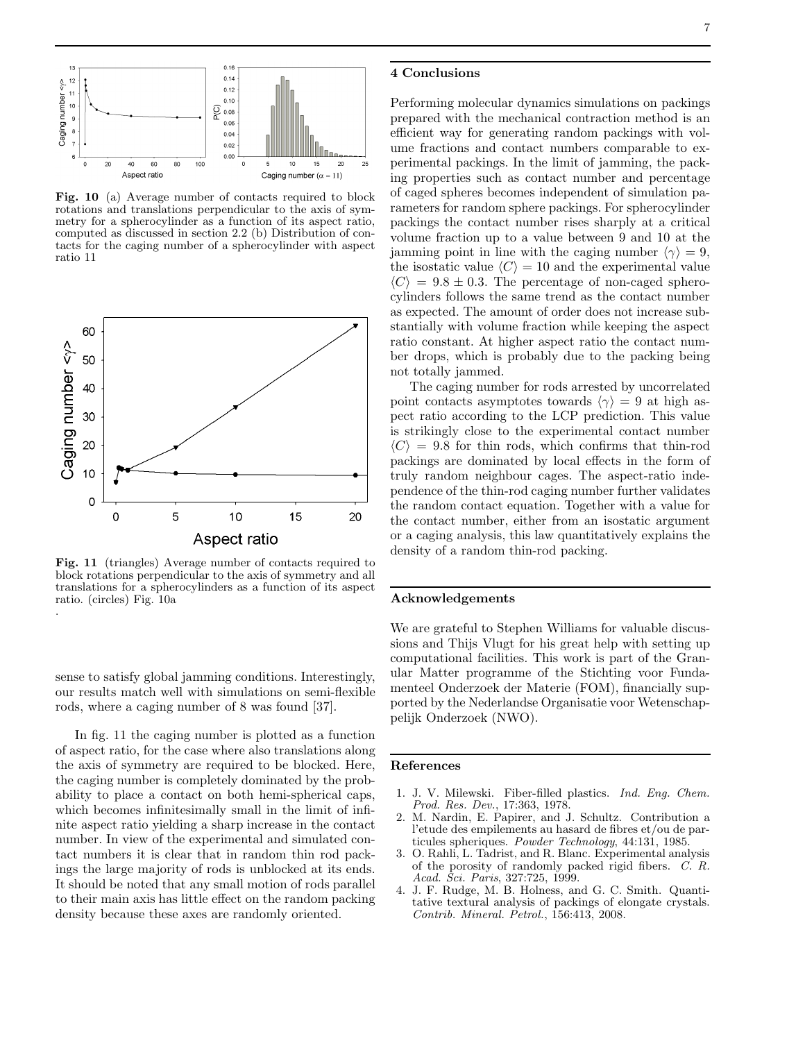



Fig. 10 (a) Average number of contacts required to block rotations and translations perpendicular to the axis of symmetry for a spherocylinder as a function of its aspect ratio, computed as discussed in section 2.2 (b) Distribution of contacts for the caging number of a spherocylinder with aspect ratio 11



Fig. 11 (triangles) Average number of contacts required to block rotations perpendicular to the axis of symmetry and all translations for a spherocylinders as a function of its aspect ratio. (circles) Fig. 10a .

sense to satisfy global jamming conditions. Interestingly, our results match well with simulations on semi-flexible rods, where a caging number of 8 was found [37].

In fig. 11 the caging number is plotted as a function of aspect ratio, for the case where also translations along the axis of symmetry are required to be blocked. Here, the caging number is completely dominated by the probability to place a contact on both hemi-spherical caps, which becomes infinitesimally small in the limit of infinite aspect ratio yielding a sharp increase in the contact number. In view of the experimental and simulated contact numbers it is clear that in random thin rod packings the large majority of rods is unblocked at its ends. It should be noted that any small motion of rods parallel to their main axis has little effect on the random packing density because these axes are randomly oriented.

Performing molecular dynamics simulations on packings prepared with the mechanical contraction method is an efficient way for generating random packings with volume fractions and contact numbers comparable to experimental packings. In the limit of jamming, the packing properties such as contact number and percentage of caged spheres becomes independent of simulation parameters for random sphere packings. For spherocylinder packings the contact number rises sharply at a critical volume fraction up to a value between 9 and 10 at the jamming point in line with the caging number  $\langle \gamma \rangle = 9$ , the isostatic value  $\langle C \rangle = 10$  and the experimental value  $\langle C \rangle = 9.8 \pm 0.3$ . The percentage of non-caged spherocylinders follows the same trend as the contact number as expected. The amount of order does not increase substantially with volume fraction while keeping the aspect ratio constant. At higher aspect ratio the contact number drops, which is probably due to the packing being not totally jammed.

The caging number for rods arrested by uncorrelated point contacts asymptotes towards  $\langle \gamma \rangle = 9$  at high aspect ratio according to the LCP prediction. This value is strikingly close to the experimental contact number  $\langle C \rangle$  = 9.8 for thin rods, which confirms that thin-rod packings are dominated by local effects in the form of truly random neighbour cages. The aspect-ratio independence of the thin-rod caging number further validates the random contact equation. Together with a value for the contact number, either from an isostatic argument or a caging analysis, this law quantitatively explains the density of a random thin-rod packing.

### Acknowledgements

We are grateful to Stephen Williams for valuable discussions and Thijs Vlugt for his great help with setting up computational facilities. This work is part of the Granular Matter programme of the Stichting voor Fundamenteel Onderzoek der Materie (FOM), financially supported by the Nederlandse Organisatie voor Wetenschappelijk Onderzoek (NWO).

#### References

- 1. J. V. Milewski. Fiber-filled plastics. *Ind. Eng. Chem. Prod. Res. Dev.*, 17:363, 1978.
- 2. M. Nardin, E. Papirer, and J. Schultz. Contribution a l'etude des empilements au hasard de fibres et/ou de particules spheriques. *Powder Technology*, 44:131, 1985.
- 3. O. Rahli, L. Tadrist, and R. Blanc. Experimental analysis of the porosity of randomly packed rigid fibers. *C. R. Acad. Sci. Paris*, 327:725, 1999.
- 4. J. F. Rudge, M. B. Holness, and G. C. Smith. Quantitative textural analysis of packings of elongate crystals. *Contrib. Mineral. Petrol.*, 156:413, 2008.